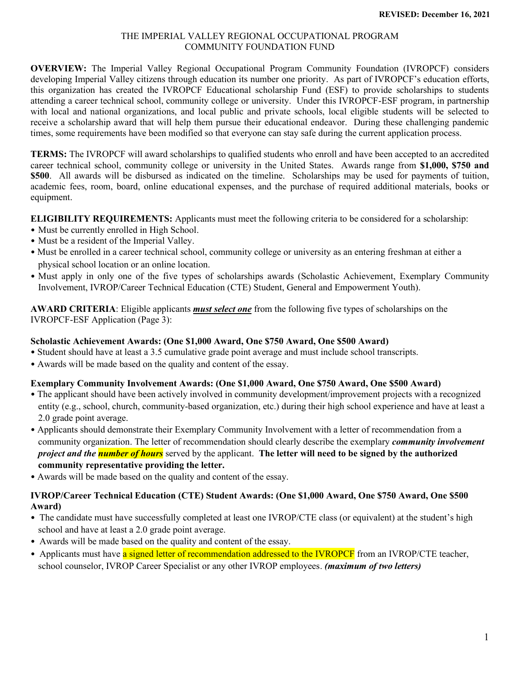#### THE IMPERIAL VALLEY REGIONAL OCCUPATIONAL PROGRAM COMMUNITY FOUNDATION FUND

**OVERVIEW:** The Imperial Valley Regional Occupational Program Community Foundation (IVROPCF) considers developing Imperial Valley citizens through education its number one priority. As part of IVROPCF's education efforts, this organization has created the IVROPCF Educational scholarship Fund (ESF) to provide scholarships to students attending a career technical school, community college or university. Under this IVROPCF-ESF program, in partnership with local and national organizations, and local public and private schools, local eligible students will be selected to receive a scholarship award that will help them pursue their educational endeavor. During these challenging pandemic times, some requirements have been modified so that everyone can stay safe during the current application process.

**TERMS:** The IVROPCF will award scholarships to qualified students who enroll and have been accepted to an accredited career technical school, community college or university in the United States. Awards range from **\$1,000, \$750 and \$500**. All awards will be disbursed as indicated on the timeline. Scholarships may be used for payments of tuition, academic fees, room, board, online educational expenses, and the purchase of required additional materials, books or equipment.

**ELIGIBILITY REQUIREMENTS:** Applicants must meet the following criteria to be considered for a scholarship:

- Must be currently enrolled in High School.
- Must be a resident of the Imperial Valley.
- Must be enrolled in a career technical school, community college or university as an entering freshman at either a physical school location or an online location.
- Must apply in only one of the five types of scholarships awards (Scholastic Achievement, Exemplary Community Involvement, IVROP/Career Technical Education (CTE) Student, General and Empowerment Youth).

**AWARD CRITERIA**: Eligible applicants *must select one* from the following five types of scholarships on the IVROPCF-ESF Application (Page 3):

### **Scholastic Achievement Awards: (One \$1,000 Award, One \$750 Award, One \$500 Award)**

- Student should have at least a 3.5 cumulative grade point average and must include school transcripts.
- Awards will be made based on the quality and content of the essay.

#### **Exemplary Community Involvement Awards: (One \$1,000 Award, One \$750 Award, One \$500 Award)**

- The applicant should have been actively involved in community development/improvement projects with a recognized entity (e.g., school, church, community-based organization, etc.) during their high school experience and have at least a 2.0 grade point average.
- Applicants should demonstrate their Exemplary Community Involvement with a letter of recommendation from a community organization. The letter of recommendation should clearly describe the exemplary *community involvement project and the number of hours* served by the applicant. **The letter will need to be signed by the authorized community representative providing the letter.**
- Awards will be made based on the quality and content of the essay.

### **IVROP/Career Technical Education (CTE) Student Awards: (One \$1,000 Award, One \$750 Award, One \$500 Award)**

- The candidate must have successfully completed at least one IVROP/CTE class (or equivalent) at the student's high school and have at least a 2.0 grade point average.
- Awards will be made based on the quality and content of the essay.
- Applicants must have a signed letter of recommendation addressed to the IVROPCF from an IVROP/CTE teacher, school counselor, IVROP Career Specialist or any other IVROP employees. *(maximum of two letters)*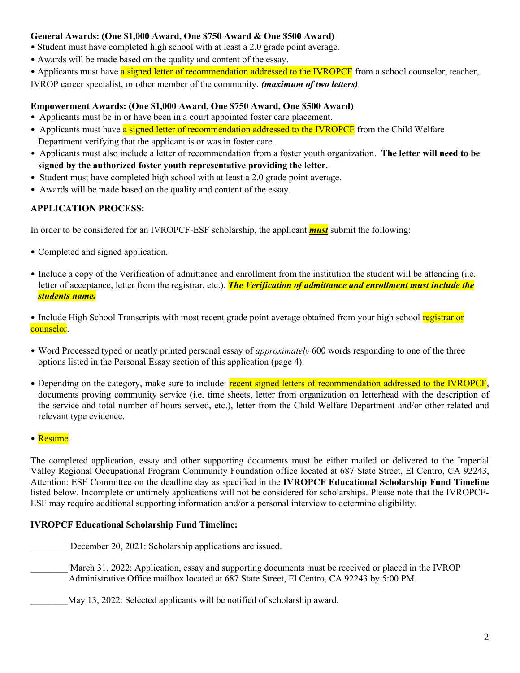### **General Awards: (One \$1,000 Award, One \$750 Award & One \$500 Award)**

- Student must have completed high school with at least a 2.0 grade point average.
- Awards will be made based on the quality and content of the essay.
- Applicants must have a signed letter of recommendation addressed to the IVROPCF from a school counselor, teacher,

IVROP career specialist, or other member of the community. *(maximum of two letters)*

#### **Empowerment Awards: (One \$1,000 Award, One \$750 Award, One \$500 Award)**

- Applicants must be in or have been in a court appointed foster care placement.
- Applicants must have a signed letter of recommendation addressed to the IVROPCF from the Child Welfare Department verifying that the applicant is or was in foster care.
- Applicants must also include a letter of recommendation from a foster youth organization. **The letter will need to be signed by the authorized foster youth representative providing the letter.**
- Student must have completed high school with at least a 2.0 grade point average.
- Awards will be made based on the quality and content of the essay.

## **APPLICATION PROCESS:**

In order to be considered for an IVROPCF-ESF scholarship, the applicant *must* submit the following:

- Completed and signed application.
- Include a copy of the Verification of admittance and enrollment from the institution the student will be attending (i.e. letter of acceptance, letter from the registrar, etc.). *The Verification of admittance and enrollment must include the students name.*

• Include High School Transcripts with most recent grade point average obtained from your high school registrar or counselor.

- Word Processed typed or neatly printed personal essay of *approximately* 600 words responding to one of the three options listed in the Personal Essay section of this application (page 4).
- Depending on the category, make sure to include: recent signed letters of recommendation addressed to the IVROPCF, documents proving community service (i.e. time sheets, letter from organization on letterhead with the description of the service and total number of hours served, etc.), letter from the Child Welfare Department and/or other related and relevant type evidence.

### • Resume.

The completed application, essay and other supporting documents must be either mailed or delivered to the Imperial Valley Regional Occupational Program Community Foundation office located at 687 State Street, El Centro, CA 92243, Attention: ESF Committee on the deadline day as specified in the **IVROPCF Educational Scholarship Fund Timeline**  listed below. Incomplete or untimely applications will not be considered for scholarships. Please note that the IVROPCF-ESF may require additional supporting information and/or a personal interview to determine eligibility.

### **IVROPCF Educational Scholarship Fund Timeline:**

December 20, 2021: Scholarship applications are issued.

- March 31, 2022: Application, essay and supporting documents must be received or placed in the IVROP Administrative Office mailbox located at 687 State Street, El Centro, CA 92243 by 5:00 PM.
	- May 13, 2022: Selected applicants will be notified of scholarship award.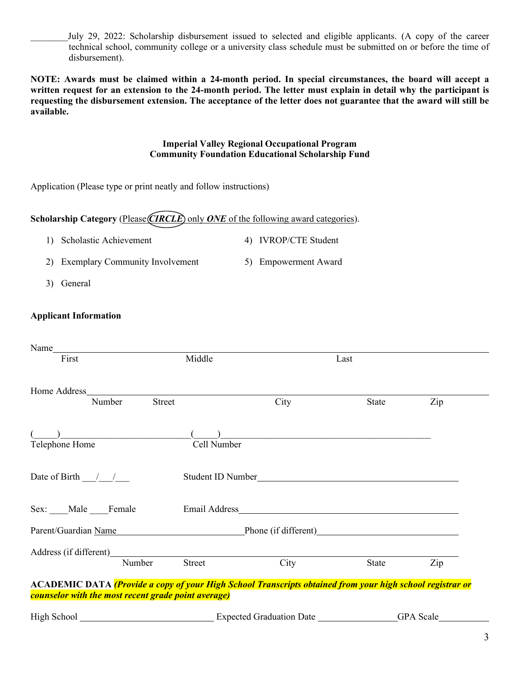July 29, 2022: Scholarship disbursement issued to selected and eligible applicants. (A copy of the career technical school, community college or a university class schedule must be submitted on or before the time of disbursement).

**NOTE: Awards must be claimed within a 24-month period. In special circumstances, the board will accept a written request for an extension to the 24-month period. The letter must explain in detail why the participant is requesting the disbursement extension. The acceptance of the letter does not guarantee that the award will still be available.**

#### **Imperial Valley Regional Occupational Program Community Foundation Educational Scholarship Fund**

Application (Please type or print neatly and follow instructions)

### **Scholarship Category** (Please *CIRCLE*) only *ONE* of the following award categories).

- 1) Scholastic Achievement 4) IVROP/CTE Student
- 2) Exemplary Community Involvement 5) Empowerment Award
- 3) General

### **Applicant Information**

| Name $\frac{1}{2}$                                                                                               |                                                                                                                                                                                                                                |      |       |     |
|------------------------------------------------------------------------------------------------------------------|--------------------------------------------------------------------------------------------------------------------------------------------------------------------------------------------------------------------------------|------|-------|-----|
| First                                                                                                            | Middle                                                                                                                                                                                                                         | Last |       |     |
|                                                                                                                  |                                                                                                                                                                                                                                |      |       |     |
| Home Address                                                                                                     |                                                                                                                                                                                                                                |      |       |     |
| Street<br>Number                                                                                                 |                                                                                                                                                                                                                                | City | State | Zip |
|                                                                                                                  |                                                                                                                                                                                                                                |      |       |     |
|                                                                                                                  |                                                                                                                                                                                                                                |      |       |     |
| Telephone Home                                                                                                   | Cell Number                                                                                                                                                                                                                    |      |       |     |
|                                                                                                                  |                                                                                                                                                                                                                                |      |       |     |
| Date of Birth $\frac{1}{\sqrt{2}}$                                                                               | Student ID Number                                                                                                                                                                                                              |      |       |     |
|                                                                                                                  |                                                                                                                                                                                                                                |      |       |     |
|                                                                                                                  |                                                                                                                                                                                                                                |      |       |     |
| Sex: ____Male ____Female                                                                                         |                                                                                                                                                                                                                                |      |       |     |
| Parent/Guardian Name                                                                                             | Phone (if different) Phone (in the contract of the contract of the contract of the contract of the contract of the contract of the contract of the contract of the contract of the contract of the contract of the contract of |      |       |     |
|                                                                                                                  |                                                                                                                                                                                                                                |      |       |     |
| Number                                                                                                           | <b>Street</b>                                                                                                                                                                                                                  | City | State | Zip |
|                                                                                                                  |                                                                                                                                                                                                                                |      |       |     |
| <b>ACADEMIC DATA</b> (Provide a copy of your High School Transcripts obtained from your high school registrar or |                                                                                                                                                                                                                                |      |       |     |
| counselor with the most recent grade point average)                                                              |                                                                                                                                                                                                                                |      |       |     |
|                                                                                                                  |                                                                                                                                                                                                                                |      |       |     |
|                                                                                                                  |                                                                                                                                                                                                                                |      |       |     |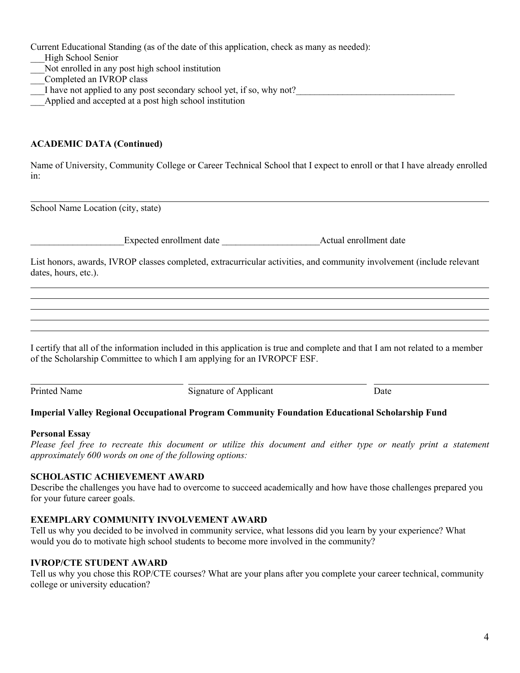Current Educational Standing (as of the date of this application, check as many as needed):

- \_\_\_High School Senior
- Not enrolled in any post high school institution
- \_\_\_Completed an IVROP class
- I have not applied to any post secondary school yet, if so, why not?
- Applied and accepted at a post high school institution

### **ACADEMIC DATA (Continued)**

Name of University, Community College or Career Technical School that I expect to enroll or that I have already enrolled in:

School Name Location (city, state)

\_\_\_\_\_\_\_\_\_\_\_\_\_\_\_\_\_\_\_\_Expected enrollment date \_\_\_\_\_\_\_\_\_\_\_\_\_\_\_\_\_\_\_\_\_Actual enrollment date

List honors, awards, IVROP classes completed, extracurricular activities, and community involvement (include relevant dates, hours, etc.).

I certify that all of the information included in this application is true and complete and that I am not related to a member of the Scholarship Committee to which I am applying for an IVROPCF ESF.

Printed Name Signature of Applicant Date

l.

#### **Imperial Valley Regional Occupational Program Community Foundation Educational Scholarship Fund**

#### **Personal Essay**

*Please feel free to recreate this document or utilize this document and either type or neatly print a statement approximately 600 words on one of the following options:*

### **SCHOLASTIC ACHIEVEMENT AWARD**

Describe the challenges you have had to overcome to succeed academically and how have those challenges prepared you for your future career goals.

### **EXEMPLARY COMMUNITY INVOLVEMENT AWARD**

Tell us why you decided to be involved in community service, what lessons did you learn by your experience? What would you do to motivate high school students to become more involved in the community?

### **IVROP/CTE STUDENT AWARD**

Tell us why you chose this ROP/CTE courses? What are your plans after you complete your career technical, community college or university education?